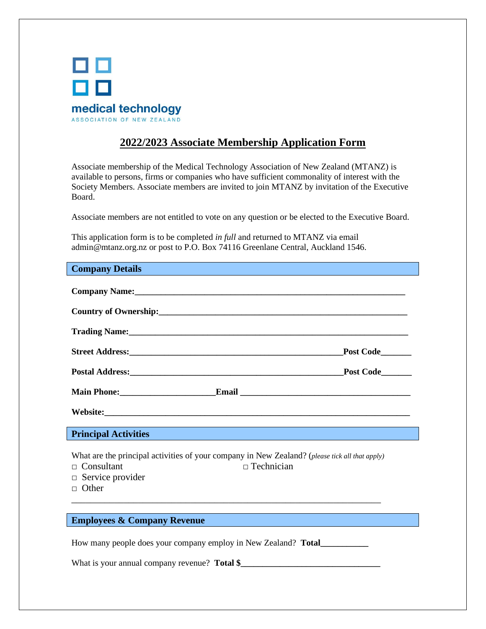

# **2022/2023 Associate Membership Application Form**

Associate membership of the Medical Technology Association of New Zealand (MTANZ) is available to persons, firms or companies who have sufficient commonality of interest with the Society Members. Associate members are invited to join MTANZ by invitation of the Executive Board.

Associate members are not entitled to vote on any question or be elected to the Executive Board.

This application form is to be completed *in full* and returned to MTANZ via email admin@mtanz.org.nz or post to P.O. Box 74116 Greenlane Central, Auckland 1546.

| <b>Company Details</b> |  |
|------------------------|--|
|------------------------|--|

| Company Name: Name:                                                                                                                                                                                                            |                  |
|--------------------------------------------------------------------------------------------------------------------------------------------------------------------------------------------------------------------------------|------------------|
|                                                                                                                                                                                                                                |                  |
| Trading Name: 1988 Contract to the Contract of the Contract of the Contract of the Contract of the Contract of the Contract of the Contract of the Contract of the Contract of the Contract of the Contract of the Contract of |                  |
|                                                                                                                                                                                                                                | <b>Post Code</b> |
|                                                                                                                                                                                                                                | Post Code        |
|                                                                                                                                                                                                                                |                  |
| Website:                                                                                                                                                                                                                       |                  |
| the contract of the contract of the contract of the contract of the contract of                                                                                                                                                |                  |

**Principal Activities**

What are the principal activities of your company in New Zealand? (*please tick all that apply)* 

\_\_\_\_\_\_\_\_\_\_\_\_\_\_\_\_\_\_\_\_\_\_\_\_\_\_\_\_\_\_\_\_\_\_\_\_\_\_\_\_\_\_\_\_\_\_\_\_\_\_\_\_\_\_\_\_\_\_\_\_\_\_\_\_\_

- □ Consultant □ Consultant
- $\Box$  Service provider
- □ Other

## **Employees & Company Revenue**

How many people does your company employ in New Zealand? **Total\_\_\_\_\_\_\_\_\_\_\_**

What is your annual company revenue? **Total \$\_\_\_**